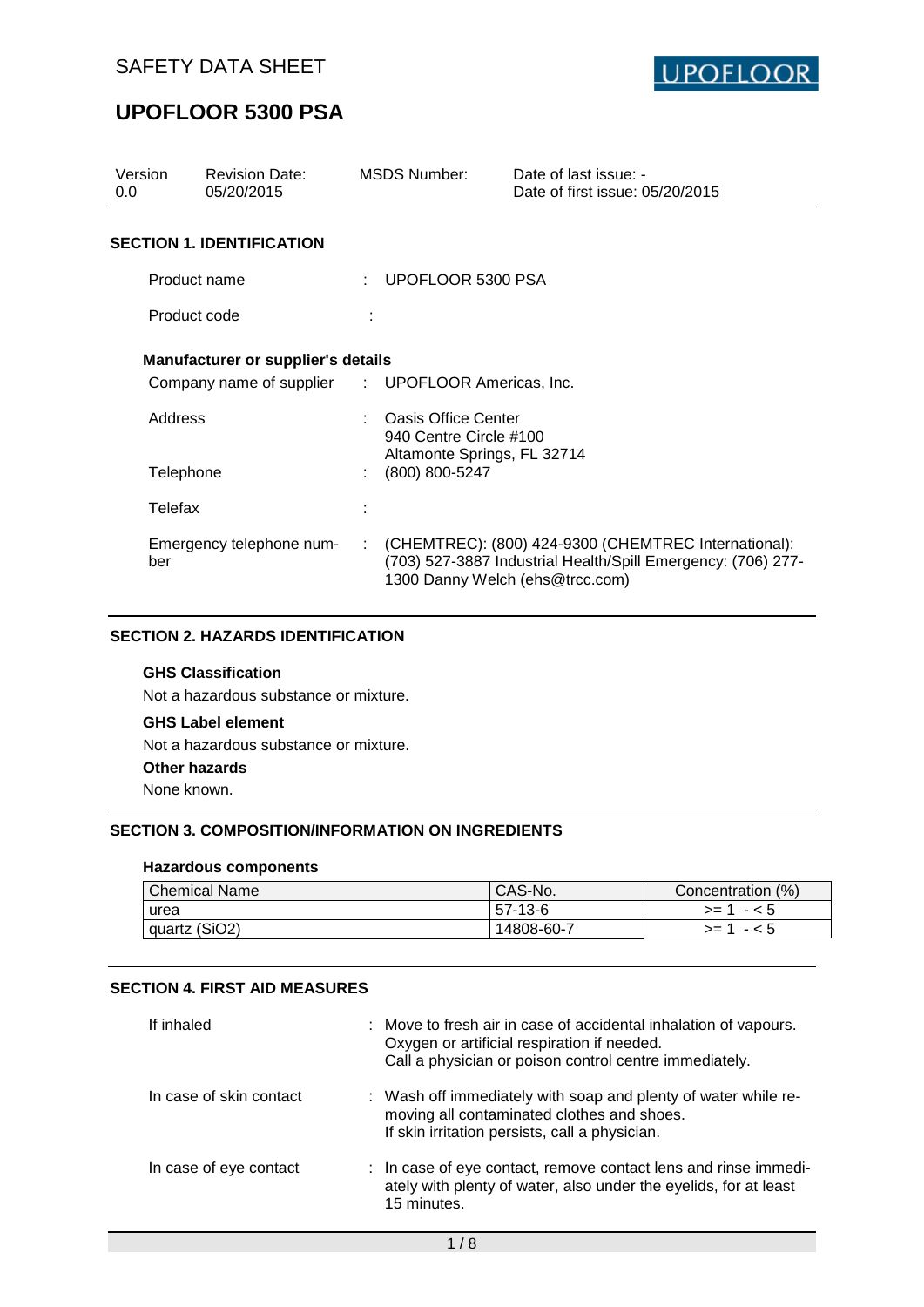

| Version<br>0.0 | <b>Revision Date:</b><br>05/20/2015                |    | <b>MSDS Number:</b>                               | Date of last issue: -<br>Date of first issue: 05/20/2015                                                                                                |
|----------------|----------------------------------------------------|----|---------------------------------------------------|---------------------------------------------------------------------------------------------------------------------------------------------------------|
|                | <b>SECTION 1. IDENTIFICATION</b>                   |    |                                                   |                                                                                                                                                         |
| Product name   |                                                    |    | : UPOFLOOR 5300 PSA                               |                                                                                                                                                         |
|                | Product code                                       |    |                                                   |                                                                                                                                                         |
|                | Manufacturer or supplier's details                 |    |                                                   |                                                                                                                                                         |
|                | Company name of supplier : UPOFLOOR Americas, Inc. |    |                                                   |                                                                                                                                                         |
| Address        |                                                    |    | : Oasis Office Center<br>940 Centre Circle #100   |                                                                                                                                                         |
|                | Telephone                                          |    | Altamonte Springs, FL 32714<br>$(800) 800 - 5247$ |                                                                                                                                                         |
| Telefax        |                                                    |    |                                                   |                                                                                                                                                         |
| ber            | Emergency telephone num-                           | ÷. |                                                   | (CHEMTREC): (800) 424-9300 (CHEMTREC International):<br>(703) 527-3887 Industrial Health/Spill Emergency: (706) 277-<br>1300 Danny Welch (ehs@trcc.com) |

## **SECTION 2. HAZARDS IDENTIFICATION**

## **GHS Classification**

Not a hazardous substance or mixture.

## **GHS Label element**

Not a hazardous substance or mixture.

#### **Other hazards**

None known.

### **SECTION 3. COMPOSITION/INFORMATION ON INGREDIENTS**

#### **Hazardous components**

| <b>Chemical Name</b> | CAS-No.    | Concentration (%) |
|----------------------|------------|-------------------|
| urea                 | 57-13-6    | $- 5$<br>$>= 1$   |
| quartz (SiO2)        | 14808-60-7 | $- < 5$<br>$>= 1$ |

#### **SECTION 4. FIRST AID MEASURES**

| If inhaled              | : Move to fresh air in case of accidental inhalation of vapours.<br>Oxygen or artificial respiration if needed.<br>Call a physician or poison control centre immediately. |
|-------------------------|---------------------------------------------------------------------------------------------------------------------------------------------------------------------------|
| In case of skin contact | : Wash off immediately with soap and plenty of water while re-<br>moving all contaminated clothes and shoes.<br>If skin irritation persists, call a physician.            |
| In case of eye contact  | : In case of eye contact, remove contact lens and rinse immedi-<br>ately with plenty of water, also under the eyelids, for at least<br>15 minutes.                        |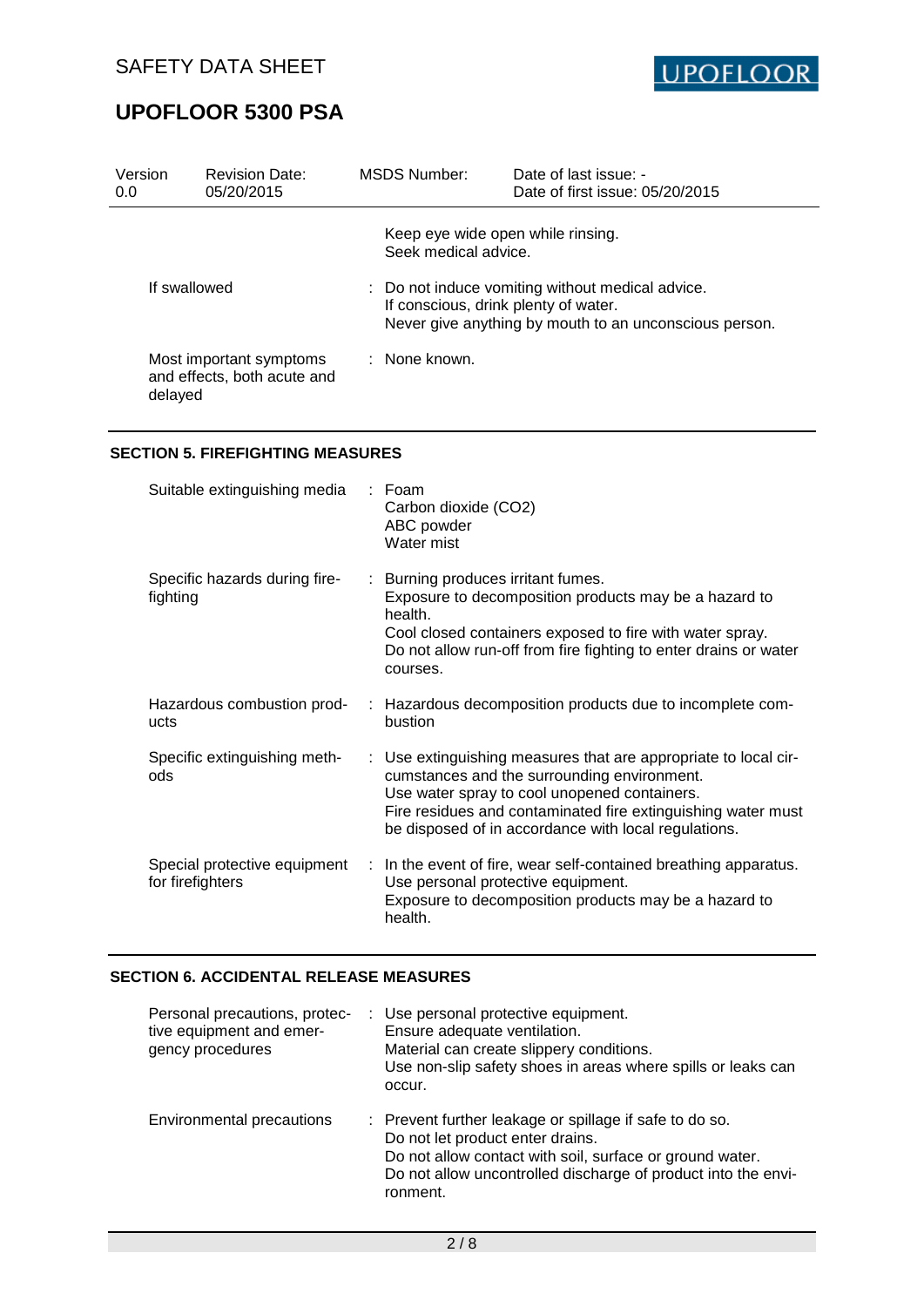

| Version<br>0.0 | <b>Revision Date:</b><br>05/20/2015                    | MSDS Number:                                                                                                                                       | Date of last issue: -<br>Date of first issue: 05/20/2015 |
|----------------|--------------------------------------------------------|----------------------------------------------------------------------------------------------------------------------------------------------------|----------------------------------------------------------|
|                |                                                        | Keep eye wide open while rinsing.<br>Seek medical advice.                                                                                          |                                                          |
| If swallowed   |                                                        | : Do not induce vomiting without medical advice.<br>If conscious, drink plenty of water.<br>Never give anything by mouth to an unconscious person. |                                                          |
| delayed        | Most important symptoms<br>and effects, both acute and | : None known.                                                                                                                                      |                                                          |

### **SECTION 5. FIREFIGHTING MEASURES**

| Suitable extinguishing media                     | : Foam<br>Carbon dioxide (CO2)<br>ABC powder<br>Water mist                                                                                                                                                                                                                             |
|--------------------------------------------------|----------------------------------------------------------------------------------------------------------------------------------------------------------------------------------------------------------------------------------------------------------------------------------------|
| Specific hazards during fire-<br>fighting        | : Burning produces irritant fumes.<br>Exposure to decomposition products may be a hazard to<br>health.<br>Cool closed containers exposed to fire with water spray.<br>Do not allow run-off from fire fighting to enter drains or water<br>courses.                                     |
| Hazardous combustion prod-<br>ucts               | : Hazardous decomposition products due to incomplete com-<br>bustion                                                                                                                                                                                                                   |
| Specific extinguishing meth-<br>ods              | : Use extinguishing measures that are appropriate to local cir-<br>cumstances and the surrounding environment.<br>Use water spray to cool unopened containers.<br>Fire residues and contaminated fire extinguishing water must<br>be disposed of in accordance with local regulations. |
| Special protective equipment<br>for firefighters | : In the event of fire, wear self-contained breathing apparatus.<br>Use personal protective equipment.<br>Exposure to decomposition products may be a hazard to<br>health.                                                                                                             |

### **SECTION 6. ACCIDENTAL RELEASE MEASURES**

| Personal precautions, protec-<br>tive equipment and emer-<br>gency procedures | : Use personal protective equipment.<br>Ensure adequate ventilation.<br>Material can create slippery conditions.<br>Use non-slip safety shoes in areas where spills or leaks can<br>occur.                                           |
|-------------------------------------------------------------------------------|--------------------------------------------------------------------------------------------------------------------------------------------------------------------------------------------------------------------------------------|
| Environmental precautions                                                     | : Prevent further leakage or spillage if safe to do so.<br>Do not let product enter drains.<br>Do not allow contact with soil, surface or ground water.<br>Do not allow uncontrolled discharge of product into the envi-<br>ronment. |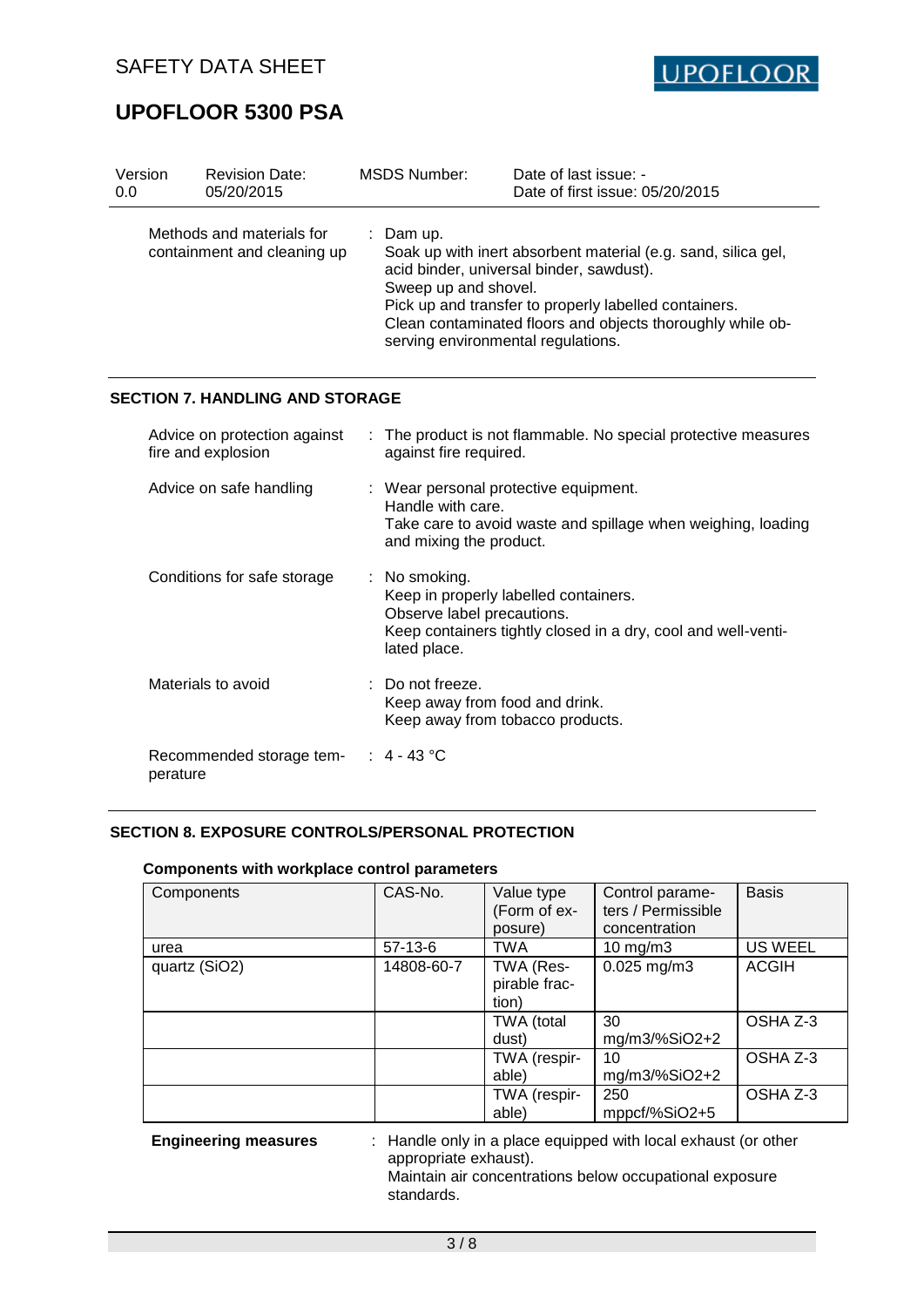

| Version<br>0.0 |                    | <b>Revision Date:</b><br>05/20/2015                      | <b>MSDS Number:</b>                                                                  | Date of last issue: -<br>Date of first issue: 05/20/2015                                                                                                                                                                         |
|----------------|--------------------|----------------------------------------------------------|--------------------------------------------------------------------------------------|----------------------------------------------------------------------------------------------------------------------------------------------------------------------------------------------------------------------------------|
|                |                    | Methods and materials for<br>containment and cleaning up | : Dam $up$ .<br>Sweep up and shovel.<br>serving environmental regulations.           | Soak up with inert absorbent material (e.g. sand, silica gel,<br>acid binder, universal binder, sawdust).<br>Pick up and transfer to properly labelled containers.<br>Clean contaminated floors and objects thoroughly while ob- |
|                |                    | <b>SECTION 7. HANDLING AND STORAGE</b>                   |                                                                                      |                                                                                                                                                                                                                                  |
|                | fire and explosion | Advice on protection against                             | against fire required.                                                               | The product is not flammable. No special protective measures                                                                                                                                                                     |
|                |                    | Advice on safe handling                                  | Handle with care.<br>and mixing the product.                                         | : Wear personal protective equipment.<br>Take care to avoid waste and spillage when weighing, loading                                                                                                                            |
|                |                    | Conditions for safe storage                              | : No smoking.<br>Observe label precautions.<br>lated place.                          | Keep in properly labelled containers.<br>Keep containers tightly closed in a dry, cool and well-venti-                                                                                                                           |
|                | Materials to avoid |                                                          | Do not freeze.<br>Keep away from food and drink.<br>Keep away from tobacco products. |                                                                                                                                                                                                                                  |
|                | perature           | Recommended storage tem-                                 | 4 - 43 °C                                                                            |                                                                                                                                                                                                                                  |

## **SECTION 8. EXPOSURE CONTROLS/PERSONAL PROTECTION**

#### **Components with workplace control parameters**

| Components    | CAS-No.    | Value type<br>(Form of ex-<br>posure) | Control parame-<br>ters / Permissible<br>concentration | <b>Basis</b>   |
|---------------|------------|---------------------------------------|--------------------------------------------------------|----------------|
| urea          | $57-13-6$  | <b>TWA</b>                            | $10 \text{ mg/m}$                                      | <b>US WEEL</b> |
| quartz (SiO2) | 14808-60-7 | TWA (Res-<br>pirable frac-<br>tion)   | $0.025$ mg/m3                                          | <b>ACGIH</b>   |
|               |            | TWA (total<br>dust)                   | 30<br>mg/m3/%SiO2+2                                    | OSHA Z-3       |
|               |            | TWA (respir-<br>able)                 | 10<br>mg/m3/%SiO2+2                                    | OSHA Z-3       |
|               |            | TWA (respir-<br>able)                 | 250<br>mppcf/%SiO2+5                                   | OSHA Z-3       |

**Engineering measures** : Handle only in a place equipped with local exhaust (or other appropriate exhaust). Maintain air concentrations below occupational exposure standards.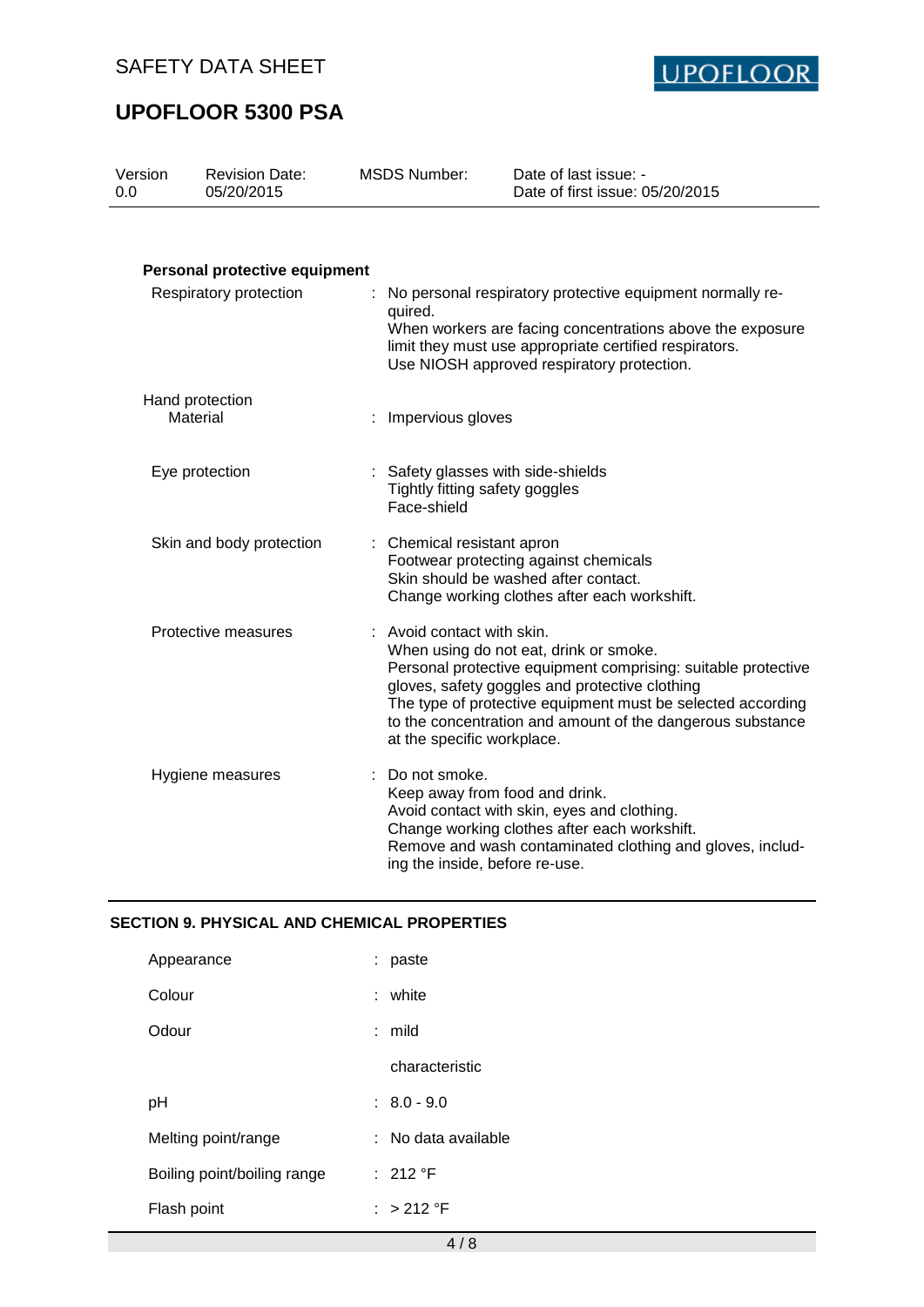

| Version<br>0.0         | <b>Revision Date:</b><br>05/20/2015 | <b>MSDS Number:</b>                                                                                                                                                                                                                       | Date of last issue: -<br>Date of first issue: 05/20/2015                                                                                                                                                                                                                               |  |  |
|------------------------|-------------------------------------|-------------------------------------------------------------------------------------------------------------------------------------------------------------------------------------------------------------------------------------------|----------------------------------------------------------------------------------------------------------------------------------------------------------------------------------------------------------------------------------------------------------------------------------------|--|--|
|                        | Personal protective equipment       |                                                                                                                                                                                                                                           |                                                                                                                                                                                                                                                                                        |  |  |
| Respiratory protection |                                     | No personal respiratory protective equipment normally re-<br>quired.<br>When workers are facing concentrations above the exposure<br>limit they must use appropriate certified respirators.<br>Use NIOSH approved respiratory protection. |                                                                                                                                                                                                                                                                                        |  |  |
|                        | Hand protection<br>Material         | Impervious gloves                                                                                                                                                                                                                         |                                                                                                                                                                                                                                                                                        |  |  |
|                        | Eye protection                      | Tightly fitting safety goggles<br>Face-shield                                                                                                                                                                                             | Safety glasses with side-shields                                                                                                                                                                                                                                                       |  |  |
|                        | Skin and body protection            | : Chemical resistant apron                                                                                                                                                                                                                | Footwear protecting against chemicals<br>Skin should be washed after contact.<br>Change working clothes after each workshift.                                                                                                                                                          |  |  |
|                        | Protective measures                 | : Avoid contact with skin.<br>at the specific workplace.                                                                                                                                                                                  | When using do not eat, drink or smoke.<br>Personal protective equipment comprising: suitable protective<br>gloves, safety goggles and protective clothing<br>The type of protective equipment must be selected according<br>to the concentration and amount of the dangerous substance |  |  |
|                        | Hygiene measures                    | : Do not smoke.<br>ing the inside, before re-use.                                                                                                                                                                                         | Keep away from food and drink.<br>Avoid contact with skin, eyes and clothing.<br>Change working clothes after each workshift.<br>Remove and wash contaminated clothing and gloves, includ-                                                                                             |  |  |

## **SECTION 9. PHYSICAL AND CHEMICAL PROPERTIES**

| Appearance                  | : paste           |
|-----------------------------|-------------------|
| Colour                      | : white           |
| Odour                       | : mild            |
|                             | characteristic    |
| рH                          | $: 8.0 - 9.0$     |
| Melting point/range         | No data available |
| Boiling point/boiling range | : 212 $\degree$ F |
| Flash point                 | $\cdot$ > 212 °F  |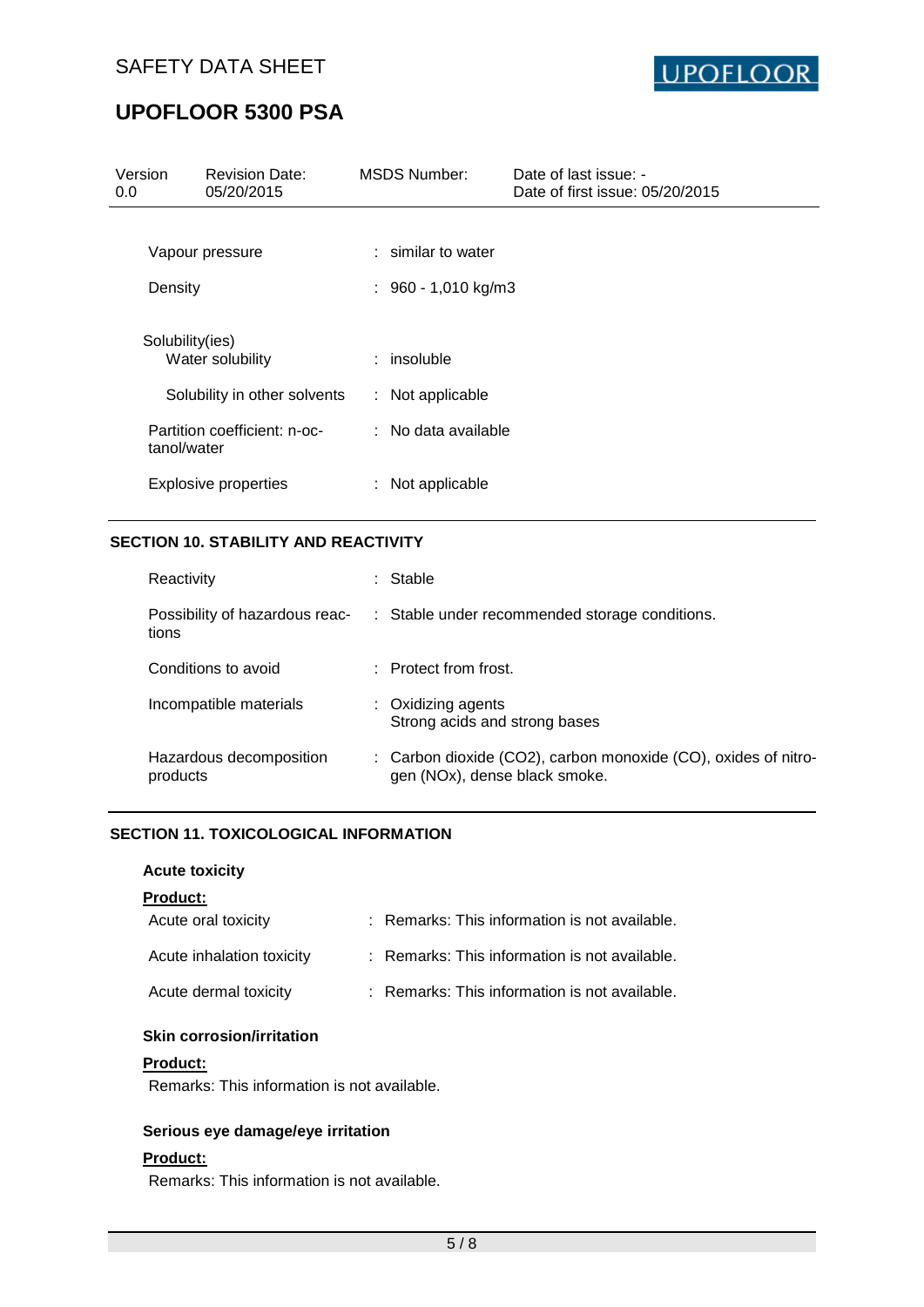

| Version<br>0.0  | <b>Revision Date:</b><br>05/20/2015 | <b>MSDS Number:</b>   | Date of last issue: -<br>Date of first issue: 05/20/2015 |
|-----------------|-------------------------------------|-----------------------|----------------------------------------------------------|
|                 |                                     |                       |                                                          |
|                 | Vapour pressure                     | $:$ similar to water  |                                                          |
| Density         |                                     | $: 960 - 1,010$ kg/m3 |                                                          |
| Solubility(ies) | Water solubility                    | $:$ insoluble         |                                                          |
|                 | Solubility in other solvents        | : Not applicable      |                                                          |
| tanol/water     | Partition coefficient: n-oc-        | $:$ No data available |                                                          |
|                 | <b>Explosive properties</b>         | $:$ Not applicable    |                                                          |

## **SECTION 10. STABILITY AND REACTIVITY**

| Reactivity                              | : Stable                                                                                        |
|-----------------------------------------|-------------------------------------------------------------------------------------------------|
| Possibility of hazardous reac-<br>tions | : Stable under recommended storage conditions.                                                  |
| Conditions to avoid                     | $\therefore$ Protect from frost.                                                                |
| Incompatible materials                  | $:$ Oxidizing agents<br>Strong acids and strong bases                                           |
| Hazardous decomposition<br>products     | : Carbon dioxide (CO2), carbon monoxide (CO), oxides of nitro-<br>gen (NOx), dense black smoke. |

#### **SECTION 11. TOXICOLOGICAL INFORMATION**

#### **Acute toxicity**

### **Product:**

| Acute oral toxicity       | : Remarks: This information is not available. |
|---------------------------|-----------------------------------------------|
| Acute inhalation toxicity | : Remarks: This information is not available. |
| Acute dermal toxicity     | : Remarks: This information is not available. |

#### **Skin corrosion/irritation**

## **Product:**

Remarks: This information is not available.

#### **Serious eye damage/eye irritation**

#### **Product:**

Remarks: This information is not available.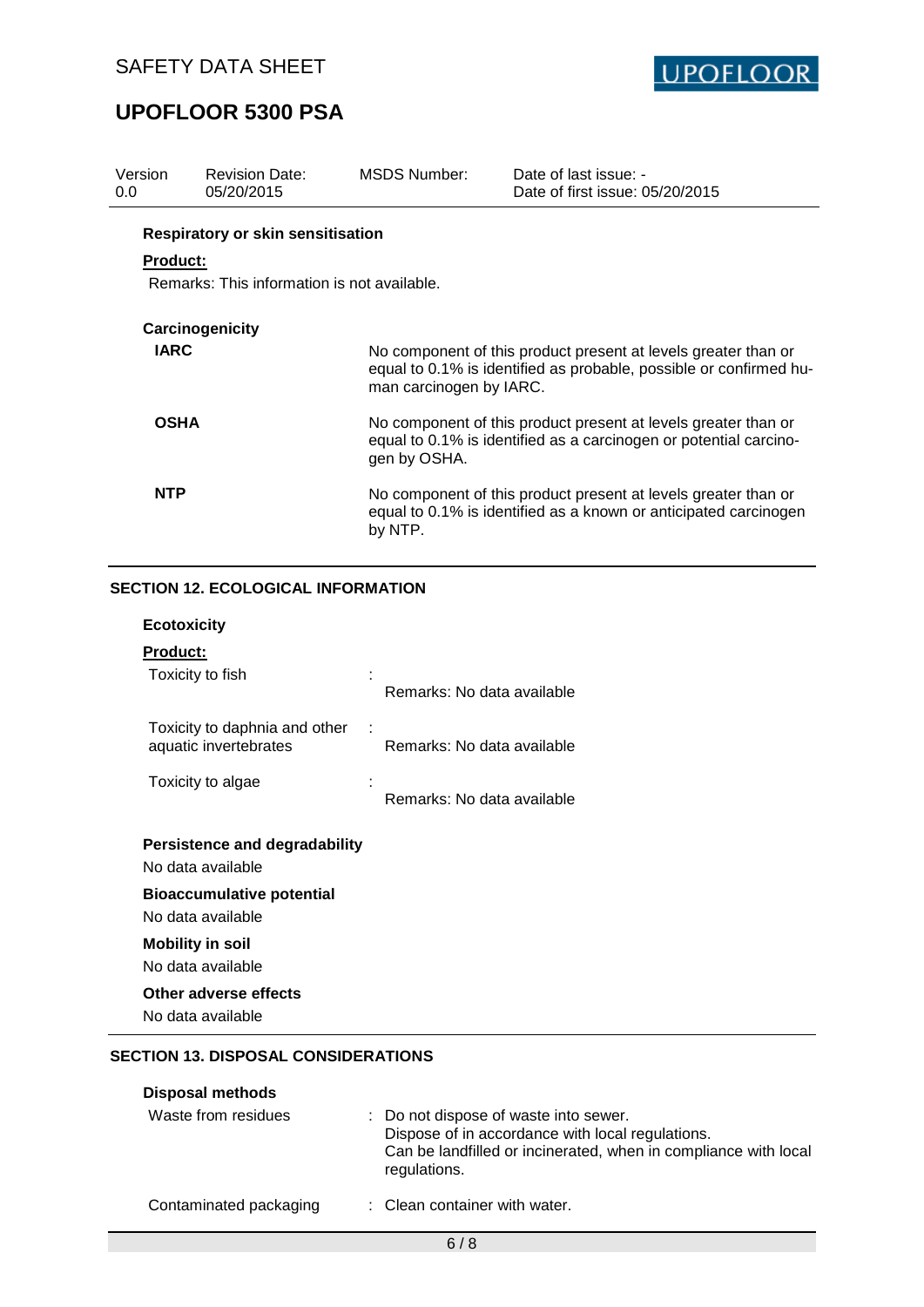

| Version<br>0.0  | <b>Revision Date:</b><br>05/20/2015         | MSDS Number:            | Date of last issue: -<br>Date of first issue: 05/20/2015                                                                             |
|-----------------|---------------------------------------------|-------------------------|--------------------------------------------------------------------------------------------------------------------------------------|
|                 | <b>Respiratory or skin sensitisation</b>    |                         |                                                                                                                                      |
| <b>Product:</b> |                                             |                         |                                                                                                                                      |
|                 | Remarks: This information is not available. |                         |                                                                                                                                      |
|                 | Carcinogenicity                             |                         |                                                                                                                                      |
| <b>IARC</b>     |                                             | man carcinogen by IARC. | No component of this product present at levels greater than or<br>equal to 0.1% is identified as probable, possible or confirmed hu- |
| <b>OSHA</b>     |                                             | gen by OSHA.            | No component of this product present at levels greater than or<br>equal to 0.1% is identified as a carcinogen or potential carcino-  |
| <b>NTP</b>      |                                             | by NTP.                 | No component of this product present at levels greater than or<br>equal to 0.1% is identified as a known or anticipated carcinogen   |

## **SECTION 12. ECOLOGICAL INFORMATION**

| Product: |  |
|----------|--|
|          |  |

| Toxicity to fish                                       | Remarks: No data available |
|--------------------------------------------------------|----------------------------|
| Toxicity to daphnia and other<br>aquatic invertebrates | Remarks: No data available |
| Toxicity to algae                                      | Remarks: No data available |
| Persistence and degradability<br>No data available     |                            |
| <b>Bioaccumulative potential</b>                       |                            |
| No data available                                      |                            |
| <b>Mobility in soil</b>                                |                            |

No data available

## **Other adverse effects**

No data available

### **SECTION 13. DISPOSAL CONSIDERATIONS**

| <b>Disposal methods</b> |                                                                                                                                                                              |
|-------------------------|------------------------------------------------------------------------------------------------------------------------------------------------------------------------------|
| Waste from residues     | : Do not dispose of waste into sewer.<br>Dispose of in accordance with local regulations.<br>Can be landfilled or incinerated, when in compliance with local<br>regulations. |
| Contaminated packaging  | : Clean container with water.                                                                                                                                                |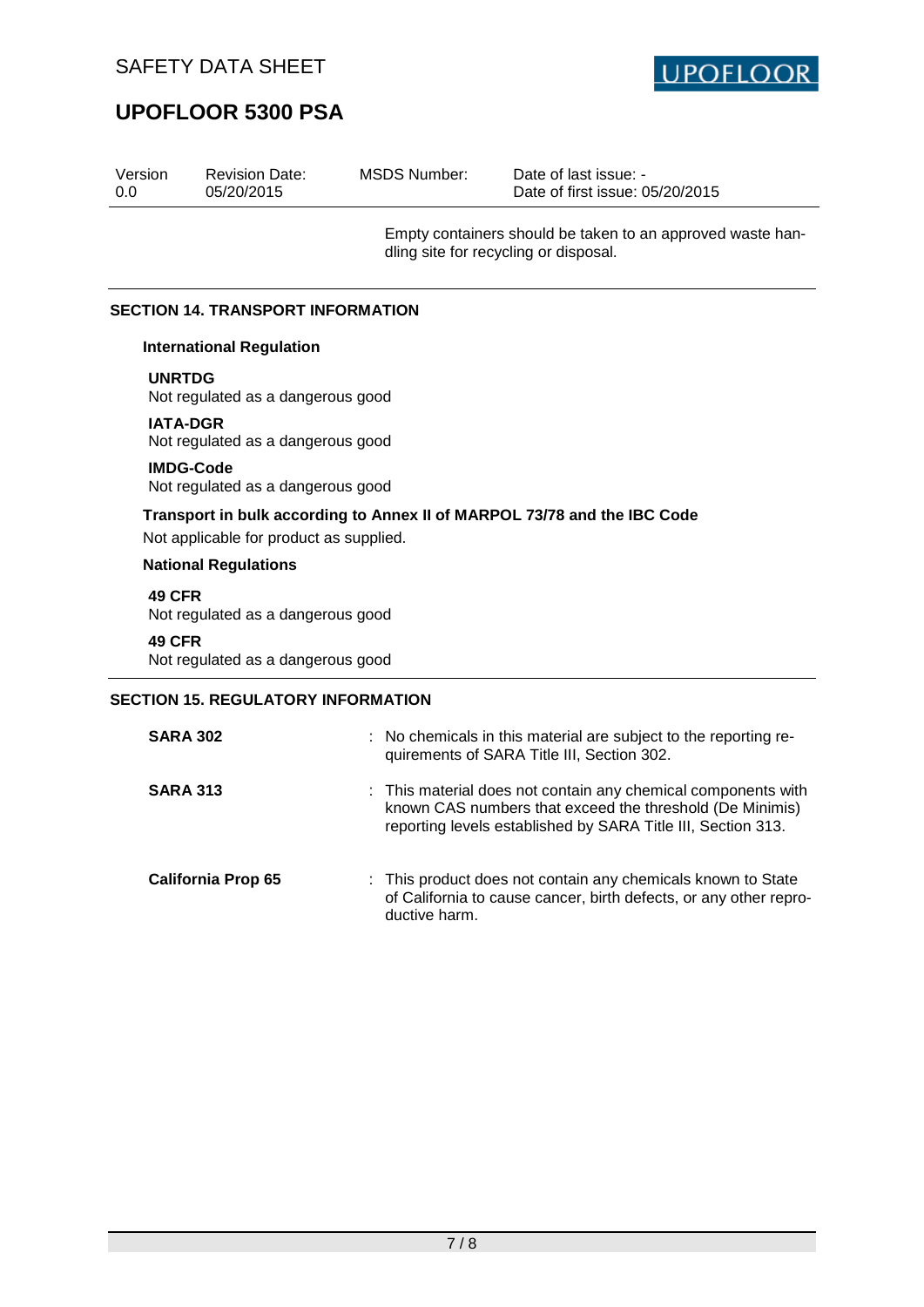

| Version<br>0.0                           | <b>Revision Date:</b><br>05/20/2015 | <b>MSDS Number:</b> | Date of last issue: -<br>Date of first issue: 05/20/2015                                            |  |  |
|------------------------------------------|-------------------------------------|---------------------|-----------------------------------------------------------------------------------------------------|--|--|
|                                          |                                     |                     | Empty containers should be taken to an approved waste han-<br>dling site for recycling or disposal. |  |  |
| <b>SECTION 14. TRANSPORT INFORMATION</b> |                                     |                     |                                                                                                     |  |  |
|                                          | <b>International Regulation</b>     |                     |                                                                                                     |  |  |

**UNRTDG**

Not regulated as a dangerous good

#### **IATA-DGR**

Not regulated as a dangerous good

## **IMDG-Code**

Not regulated as a dangerous good

## **Transport in bulk according to Annex II of MARPOL 73/78 and the IBC Code**

Not applicable for product as supplied.

#### **National Regulations**

**49 CFR**

Not regulated as a dangerous good

#### **49 CFR**

Not regulated as a dangerous good

## **SECTION 15. REGULATORY INFORMATION**

| <b>SARA 302</b>           | : No chemicals in this material are subject to the reporting re-<br>quirements of SARA Title III, Section 302.                                                                            |
|---------------------------|-------------------------------------------------------------------------------------------------------------------------------------------------------------------------------------------|
| <b>SARA 313</b>           | : This material does not contain any chemical components with<br>known CAS numbers that exceed the threshold (De Minimis)<br>reporting levels established by SARA Title III, Section 313. |
| <b>California Prop 65</b> | : This product does not contain any chemicals known to State<br>of California to cause cancer, birth defects, or any other repro-<br>ductive harm.                                        |